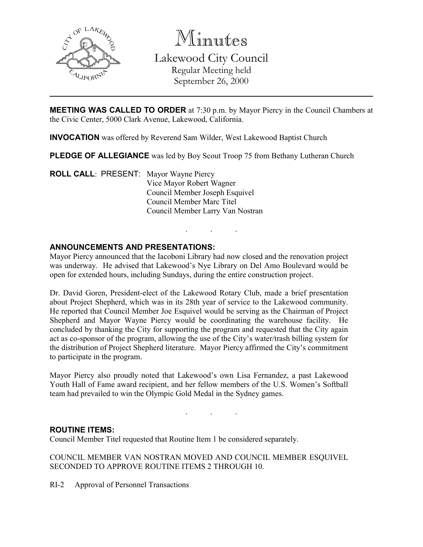

Minutes

Lakewood City Council Regular Meeting held September 26, 2000

MEETING WAS CALLED TO ORDER at 7:30 p.m. by Mayor Piercy in the Council Chambers at the Civic Center, 5000 Clark Avenue, Lakewood, California.

INVOCATION was offered by Reverend Sam Wilder, West Lakewood Baptist Church

PLEDGE OF ALLEGIANCE was led by Boy Scout Troop 75 from Bethany Lutheran Church

ROLL CALL: PRESENT: Mayor Wayne Piercy Vice Mayor Robert Wagner Council Member Joseph Esquivel Council Member Marc Titel Council Member Larry Van Nostran

# ANNOUNCEMENTS AND PRESENTATIONS:

Mayor Piercy announced that the Iacoboni Library had now closed and the renovation project was underway. He advised that Lakewood's Nye Library on Del Amo Boulevard would be open for extended hours, including Sundays, during the entire construction project.

. . .

Dr. David Goren, President-elect of the Lakewood Rotary Club, made a brief presentation about Project Shepherd, which was in its 28th year of service to the Lakewood community. He reported that Council Member Joe Esquivel would be serving as the Chairman of Project Shepherd and Mayor Wayne Piercy would be coordinating the warehouse facility. He concluded by thanking the City for supporting the program and requested that the City again act as co-sponsor of the program, allowing the use of the City's water/trash billing system for the distribution of Project Shepherd literature. Mayor Piercy affirmed the City's commitment to participate in the program.

Mayor Piercy also proudly noted that Lakewood's own Lisa Fernandez, a past Lakewood Youth Hall of Fame award recipient, and her fellow members of the U.S. Women's Softball team had prevailed to win the Olympic Gold Medal in the Sydney games.

. . .

## ROUTINE ITEMS:

Council Member Titel requested that Routine Item 1 be considered separately.

COUNCIL MEMBER VAN NOSTRAN MOVED AND COUNCIL MEMBER ESQUIVEL SECONDED TO APPROVE ROUTINE ITEMS 2 THROUGH 10.

RI-2 Approval of Personnel Transactions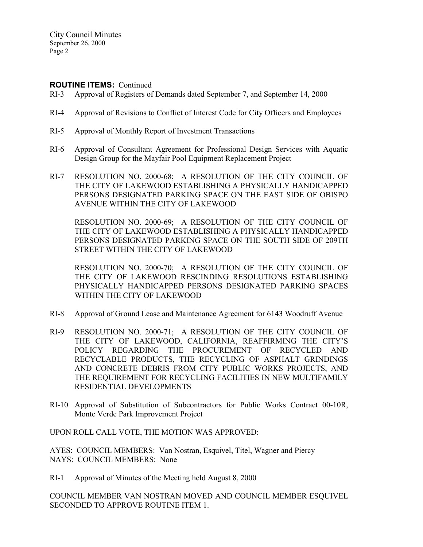#### ROUTINE ITEMS: Continued

- RI-3 Approval of Registers of Demands dated September 7, and September 14, 2000
- RI-4 Approval of Revisions to Conflict of Interest Code for City Officers and Employees
- RI-5 Approval of Monthly Report of Investment Transactions
- RI-6 Approval of Consultant Agreement for Professional Design Services with Aquatic Design Group for the Mayfair Pool Equipment Replacement Project
- RI-7 RESOLUTION NO. 2000-68; A RESOLUTION OF THE CITY COUNCIL OF THE CITY OF LAKEWOOD ESTABLISHING A PHYSICALLY HANDICAPPED PERSONS DESIGNATED PARKING SPACE ON THE EAST SIDE OF OBISPO AVENUE WITHIN THE CITY OF LAKEWOOD

RESOLUTION NO. 2000-69; A RESOLUTION OF THE CITY COUNCIL OF THE CITY OF LAKEWOOD ESTABLISHING A PHYSICALLY HANDICAPPED PERSONS DESIGNATED PARKING SPACE ON THE SOUTH SIDE OF 209TH STREET WITHIN THE CITY OF LAKEWOOD

RESOLUTION NO. 2000-70; A RESOLUTION OF THE CITY COUNCIL OF THE CITY OF LAKEWOOD RESCINDING RESOLUTIONS ESTABLISHING PHYSICALLY HANDICAPPED PERSONS DESIGNATED PARKING SPACES WITHIN THE CITY OF LAKEWOOD

- RI-8 Approval of Ground Lease and Maintenance Agreement for 6143 Woodruff Avenue
- RI-9 RESOLUTION NO. 2000-71; A RESOLUTION OF THE CITY COUNCIL OF THE CITY OF LAKEWOOD, CALIFORNIA, REAFFIRMING THE CITY'S POLICY REGARDING THE PROCUREMENT OF RECYCLED AND RECYCLABLE PRODUCTS, THE RECYCLING OF ASPHALT GRINDINGS AND CONCRETE DEBRIS FROM CITY PUBLIC WORKS PROJECTS, AND THE REQUIREMENT FOR RECYCLING FACILITIES IN NEW MULTIFAMILY RESIDENTIAL DEVELOPMENTS
- RI-10 Approval of Substitution of Subcontractors for Public Works Contract 00-10R, Monte Verde Park Improvement Project

UPON ROLL CALL VOTE, THE MOTION WAS APPROVED:

AYES: COUNCIL MEMBERS: Van Nostran, Esquivel, Titel, Wagner and Piercy NAYS: COUNCIL MEMBERS: None

RI-1 Approval of Minutes of the Meeting held August 8, 2000

COUNCIL MEMBER VAN NOSTRAN MOVED AND COUNCIL MEMBER ESQUIVEL SECONDED TO APPROVE ROUTINE ITEM 1.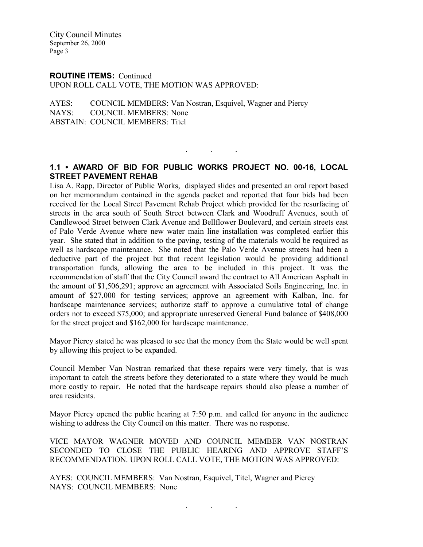#### ROUTINE ITEMS: Continued

UPON ROLL CALL VOTE, THE MOTION WAS APPROVED:

AYES: COUNCIL MEMBERS: Van Nostran, Esquivel, Wagner and Piercy NAYS: COUNCIL MEMBERS: None ABSTAIN: COUNCIL MEMBERS: Titel

# 1.1 • AWARD OF BID FOR PUBLIC WORKS PROJECT NO. 00-16, LOCAL STREET PAVEMENT REHAB

. . .

Lisa A. Rapp, Director of Public Works, displayed slides and presented an oral report based on her memorandum contained in the agenda packet and reported that four bids had been received for the Local Street Pavement Rehab Project which provided for the resurfacing of streets in the area south of South Street between Clark and Woodruff Avenues, south of Candlewood Street between Clark Avenue and Bellflower Boulevard, and certain streets east of Palo Verde Avenue where new water main line installation was completed earlier this year. She stated that in addition to the paving, testing of the materials would be required as well as hardscape maintenance. She noted that the Palo Verde Avenue streets had been a deductive part of the project but that recent legislation would be providing additional transportation funds, allowing the area to be included in this project. It was the recommendation of staff that the City Council award the contract to All American Asphalt in the amount of \$1,506,291; approve an agreement with Associated Soils Engineering, Inc. in amount of \$27,000 for testing services; approve an agreement with Kalban, Inc. for hardscape maintenance services; authorize staff to approve a cumulative total of change orders not to exceed \$75,000; and appropriate unreserved General Fund balance of \$408,000 for the street project and \$162,000 for hardscape maintenance.

Mayor Piercy stated he was pleased to see that the money from the State would be well spent by allowing this project to be expanded.

Council Member Van Nostran remarked that these repairs were very timely, that is was important to catch the streets before they deteriorated to a state where they would be much more costly to repair. He noted that the hardscape repairs should also please a number of area residents.

Mayor Piercy opened the public hearing at 7:50 p.m. and called for anyone in the audience wishing to address the City Council on this matter. There was no response.

VICE MAYOR WAGNER MOVED AND COUNCIL MEMBER VAN NOSTRAN SECONDED TO CLOSE THE PUBLIC HEARING AND APPROVE STAFF'S RECOMMENDATION. UPON ROLL CALL VOTE, THE MOTION WAS APPROVED:

AYES: COUNCIL MEMBERS: Van Nostran, Esquivel, Titel, Wagner and Piercy NAYS: COUNCIL MEMBERS: None

 $\mathbf{r}$  .  $\mathbf{r}$  ,  $\mathbf{r}$  ,  $\mathbf{r}$  ,  $\mathbf{r}$  ,  $\mathbf{r}$  ,  $\mathbf{r}$  ,  $\mathbf{r}$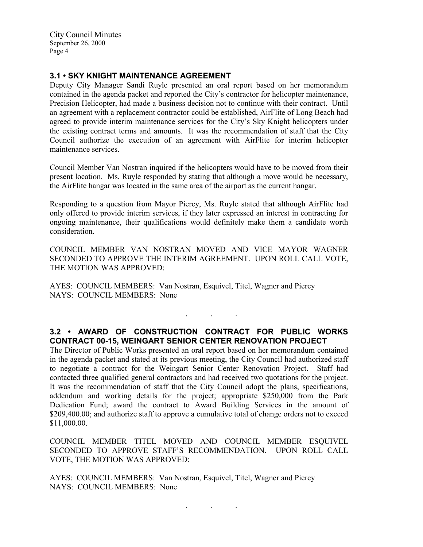## 3.1 • SKY KNIGHT MAINTENANCE AGREEMENT

Deputy City Manager Sandi Ruyle presented an oral report based on her memorandum contained in the agenda packet and reported the City's contractor for helicopter maintenance, Precision Helicopter, had made a business decision not to continue with their contract. Until an agreement with a replacement contractor could be established, AirFlite of Long Beach had agreed to provide interim maintenance services for the City's Sky Knight helicopters under the existing contract terms and amounts. It was the recommendation of staff that the City Council authorize the execution of an agreement with AirFlite for interim helicopter maintenance services.

Council Member Van Nostran inquired if the helicopters would have to be moved from their present location. Ms. Ruyle responded by stating that although a move would be necessary, the AirFlite hangar was located in the same area of the airport as the current hangar.

Responding to a question from Mayor Piercy, Ms. Ruyle stated that although AirFlite had only offered to provide interim services, if they later expressed an interest in contracting for ongoing maintenance, their qualifications would definitely make them a candidate worth consideration.

COUNCIL MEMBER VAN NOSTRAN MOVED AND VICE MAYOR WAGNER SECONDED TO APPROVE THE INTERIM AGREEMENT. UPON ROLL CALL VOTE, THE MOTION WAS APPROVED:

AYES: COUNCIL MEMBERS: Van Nostran, Esquivel, Titel, Wagner and Piercy NAYS: COUNCIL MEMBERS: None

# 3.2 • AWARD OF CONSTRUCTION CONTRACT FOR PUBLIC WORKS CONTRACT 00-15, WEINGART SENIOR CENTER RENOVATION PROJECT

. . .

The Director of Public Works presented an oral report based on her memorandum contained in the agenda packet and stated at its previous meeting, the City Council had authorized staff to negotiate a contract for the Weingart Senior Center Renovation Project. Staff had contacted three qualified general contractors and had received two quotations for the project. It was the recommendation of staff that the City Council adopt the plans, specifications, addendum and working details for the project; appropriate \$250,000 from the Park Dedication Fund; award the contract to Award Building Services in the amount of \$209,400.00; and authorize staff to approve a cumulative total of change orders not to exceed \$11,000.00.

COUNCIL MEMBER TITEL MOVED AND COUNCIL MEMBER ESQUIVEL SECONDED TO APPROVE STAFF'S RECOMMENDATION. UPON ROLL CALL VOTE, THE MOTION WAS APPROVED:

AYES: COUNCIL MEMBERS: Van Nostran, Esquivel, Titel, Wagner and Piercy NAYS: COUNCIL MEMBERS: None

 $\mathbf{r}$  .  $\mathbf{r}$  ,  $\mathbf{r}$  ,  $\mathbf{r}$  ,  $\mathbf{r}$  ,  $\mathbf{r}$  ,  $\mathbf{r}$  ,  $\mathbf{r}$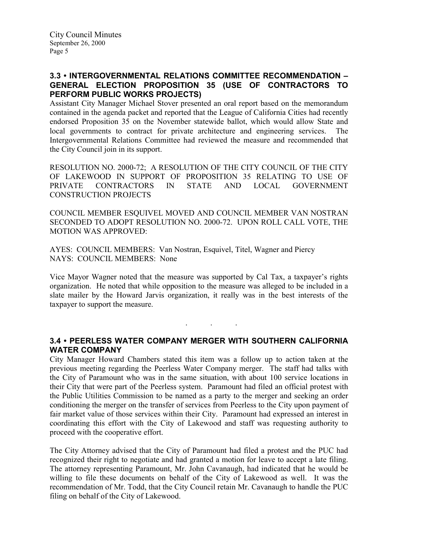# 3.3 • INTERGOVERNMENTAL RELATIONS COMMITTEE RECOMMENDATION – GENERAL ELECTION PROPOSITION 35 (USE OF CONTRACTORS TO PERFORM PUBLIC WORKS PROJECTS)

Assistant City Manager Michael Stover presented an oral report based on the memorandum contained in the agenda packet and reported that the League of California Cities had recently endorsed Proposition 35 on the November statewide ballot, which would allow State and local governments to contract for private architecture and engineering services. The Intergovernmental Relations Committee had reviewed the measure and recommended that the City Council join in its support.

RESOLUTION NO. 2000-72; A RESOLUTION OF THE CITY COUNCIL OF THE CITY OF LAKEWOOD IN SUPPORT OF PROPOSITION 35 RELATING TO USE OF PRIVATE CONTRACTORS IN STATE AND LOCAL GOVERNMENT CONSTRUCTION PROJECTS

COUNCIL MEMBER ESQUIVEL MOVED AND COUNCIL MEMBER VAN NOSTRAN SECONDED TO ADOPT RESOLUTION NO. 2000-72. UPON ROLL CALL VOTE, THE MOTION WAS APPROVED:

AYES: COUNCIL MEMBERS: Van Nostran, Esquivel, Titel, Wagner and Piercy NAYS: COUNCIL MEMBERS: None

Vice Mayor Wagner noted that the measure was supported by Cal Tax, a taxpayer's rights organization. He noted that while opposition to the measure was alleged to be included in a slate mailer by the Howard Jarvis organization, it really was in the best interests of the taxpayer to support the measure.

# 3.4 • PEERLESS WATER COMPANY MERGER WITH SOUTHERN CALIFORNIA WATER COMPANY

. . .

City Manager Howard Chambers stated this item was a follow up to action taken at the previous meeting regarding the Peerless Water Company merger. The staff had talks with the City of Paramount who was in the same situation, with about 100 service locations in their City that were part of the Peerless system. Paramount had filed an official protest with the Public Utilities Commission to be named as a party to the merger and seeking an order conditioning the merger on the transfer of services from Peerless to the City upon payment of fair market value of those services within their City. Paramount had expressed an interest in coordinating this effort with the City of Lakewood and staff was requesting authority to proceed with the cooperative effort.

The City Attorney advised that the City of Paramount had filed a protest and the PUC had recognized their right to negotiate and had granted a motion for leave to accept a late filing. The attorney representing Paramount, Mr. John Cavanaugh, had indicated that he would be willing to file these documents on behalf of the City of Lakewood as well. It was the recommendation of Mr. Todd, that the City Council retain Mr. Cavanaugh to handle the PUC filing on behalf of the City of Lakewood.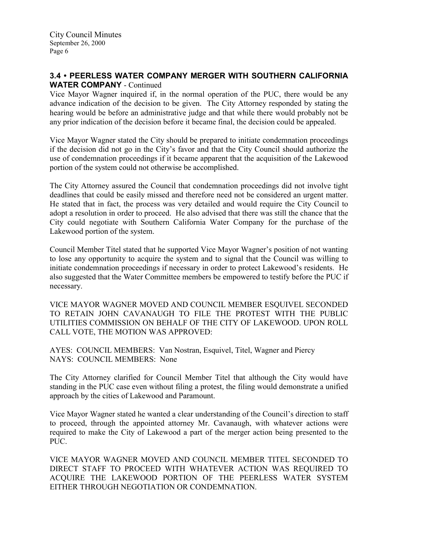# 3.4 • PEERLESS WATER COMPANY MERGER WITH SOUTHERN CALIFORNIA WATER COMPANY - Continued

Vice Mayor Wagner inquired if, in the normal operation of the PUC, there would be any advance indication of the decision to be given. The City Attorney responded by stating the hearing would be before an administrative judge and that while there would probably not be any prior indication of the decision before it became final, the decision could be appealed.

Vice Mayor Wagner stated the City should be prepared to initiate condemnation proceedings if the decision did not go in the City's favor and that the City Council should authorize the use of condemnation proceedings if it became apparent that the acquisition of the Lakewood portion of the system could not otherwise be accomplished.

The City Attorney assured the Council that condemnation proceedings did not involve tight deadlines that could be easily missed and therefore need not be considered an urgent matter. He stated that in fact, the process was very detailed and would require the City Council to adopt a resolution in order to proceed. He also advised that there was still the chance that the City could negotiate with Southern California Water Company for the purchase of the Lakewood portion of the system.

Council Member Titel stated that he supported Vice Mayor Wagner's position of not wanting to lose any opportunity to acquire the system and to signal that the Council was willing to initiate condemnation proceedings if necessary in order to protect Lakewood's residents. He also suggested that the Water Committee members be empowered to testify before the PUC if necessary.

VICE MAYOR WAGNER MOVED AND COUNCIL MEMBER ESQUIVEL SECONDED TO RETAIN JOHN CAVANAUGH TO FILE THE PROTEST WITH THE PUBLIC UTILITIES COMMISSION ON BEHALF OF THE CITY OF LAKEWOOD. UPON ROLL CALL VOTE, THE MOTION WAS APPROVED:

AYES: COUNCIL MEMBERS: Van Nostran, Esquivel, Titel, Wagner and Piercy NAYS: COUNCIL MEMBERS: None

The City Attorney clarified for Council Member Titel that although the City would have standing in the PUC case even without filing a protest, the filing would demonstrate a unified approach by the cities of Lakewood and Paramount.

Vice Mayor Wagner stated he wanted a clear understanding of the Council's direction to staff to proceed, through the appointed attorney Mr. Cavanaugh, with whatever actions were required to make the City of Lakewood a part of the merger action being presented to the PUC.

VICE MAYOR WAGNER MOVED AND COUNCIL MEMBER TITEL SECONDED TO DIRECT STAFF TO PROCEED WITH WHATEVER ACTION WAS REQUIRED TO ACQUIRE THE LAKEWOOD PORTION OF THE PEERLESS WATER SYSTEM EITHER THROUGH NEGOTIATION OR CONDEMNATION.